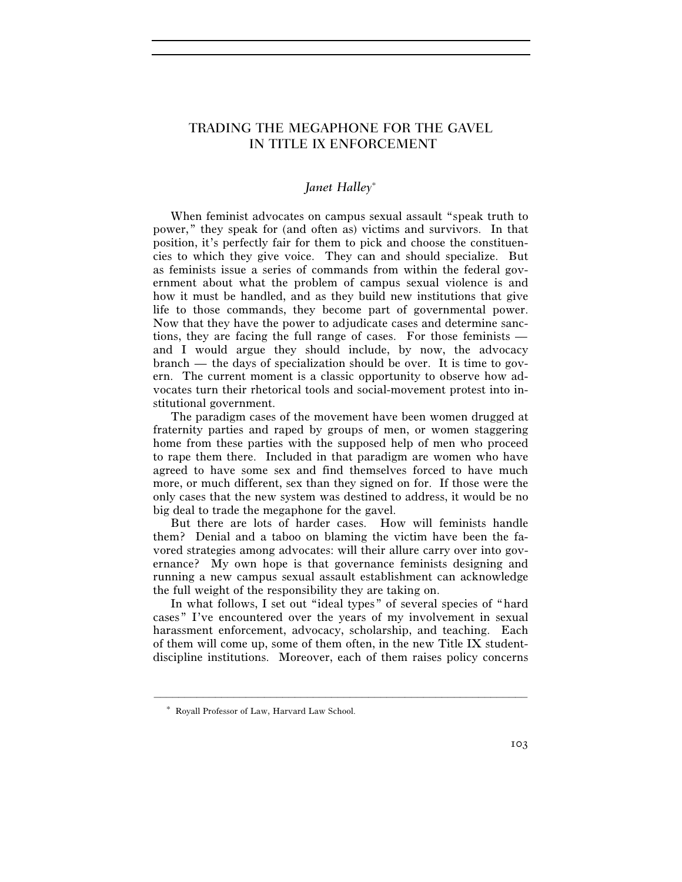# TRADING THE MEGAPHONE FOR THE GAVEL IN TITLE IX ENFORCEMENT

## *Janet Halley*<sup>∗</sup>

When feminist advocates on campus sexual assault "speak truth to power," they speak for (and often as) victims and survivors. In that position, it's perfectly fair for them to pick and choose the constituencies to which they give voice. They can and should specialize. But as feminists issue a series of commands from within the federal government about what the problem of campus sexual violence is and how it must be handled, and as they build new institutions that give life to those commands, they become part of governmental power. Now that they have the power to adjudicate cases and determine sanctions, they are facing the full range of cases. For those feminists and I would argue they should include, by now, the advocacy branch — the days of specialization should be over. It is time to govern. The current moment is a classic opportunity to observe how advocates turn their rhetorical tools and social-movement protest into institutional government.

The paradigm cases of the movement have been women drugged at fraternity parties and raped by groups of men, or women staggering home from these parties with the supposed help of men who proceed to rape them there. Included in that paradigm are women who have agreed to have some sex and find themselves forced to have much more, or much different, sex than they signed on for. If those were the only cases that the new system was destined to address, it would be no big deal to trade the megaphone for the gavel.

But there are lots of harder cases. How will feminists handle them? Denial and a taboo on blaming the victim have been the favored strategies among advocates: will their allure carry over into governance? My own hope is that governance feminists designing and running a new campus sexual assault establishment can acknowledge the full weight of the responsibility they are taking on.

In what follows, I set out "ideal types" of several species of "hard cases" I've encountered over the years of my involvement in sexual harassment enforcement, advocacy, scholarship, and teaching. Each of them will come up, some of them often, in the new Title IX studentdiscipline institutions. Moreover, each of them raises policy concerns

<sup>∗</sup> Royall Professor of Law, Harvard Law School.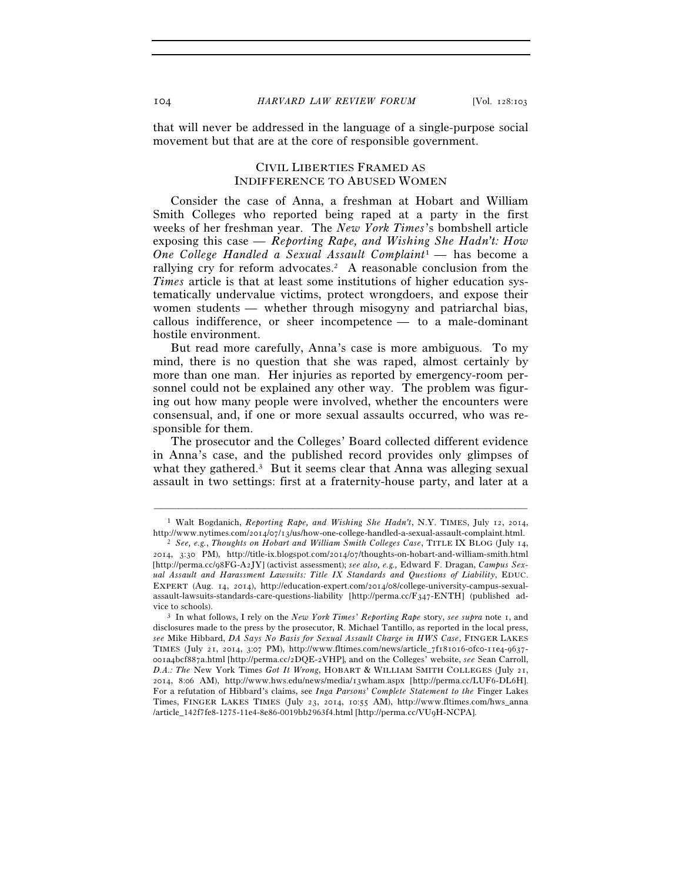that will never be addressed in the language of a single-purpose social movement but that are at the core of responsible government.

### CIVIL LIBERTIES FRAMED AS INDIFFERENCE TO ABUSED WOMEN

Consider the case of Anna, a freshman at Hobart and William Smith Colleges who reported being raped at a party in the first weeks of her freshman year. The *New York Times*'s bombshell article exposing this case — *Reporting Rape, and Wishing She Hadn't: How One College Handled a Sexual Assault Complaint*1 — has become a rallying cry for reform advocates.<sup>2</sup> A reasonable conclusion from the *Times* article is that at least some institutions of higher education systematically undervalue victims, protect wrongdoers, and expose their women students — whether through misogyny and patriarchal bias, callous indifference, or sheer incompetence — to a male-dominant hostile environment.

But read more carefully, Anna's case is more ambiguous. To my mind, there is no question that she was raped, almost certainly by more than one man. Her injuries as reported by emergency-room personnel could not be explained any other way. The problem was figuring out how many people were involved, whether the encounters were consensual, and, if one or more sexual assaults occurred, who was responsible for them.

The prosecutor and the Colleges' Board collected different evidence in Anna's case, and the published record provides only glimpses of what they gathered.<sup>3</sup> But it seems clear that Anna was alleging sexual assault in two settings: first at a fraternity-house party, and later at a

<sup>–––––––––––––––––––––––––––––––––––––––––––––––––––––––––––––</sup> <sup>1</sup> Walt Bogdanich, *Reporting Rape, and Wishing She Hadn't*, N.Y. TIMES, July 12, 2014, http://www.nytimes.com/2014/07/13/us/how-one-college-handled-a-sexual-assault-complaint.html.

<sup>&</sup>lt;sup>2</sup> See, e.g., *Thoughts on Hobart and William Smith Colleges Case*, TITLE IX BLOG (July 14, 2014, 3:30 PM), http://title-ix.blogspot.com/2014/07/thoughts-on-hobart-and-william-smith.html [http://perma.cc/98FG-A2JY] (activist assessment); *see also, e.g.,* Edward F. Dragan, *Campus Sexual Assault and Harassment Lawsuits: Title IX Standards and Questions of Liability*, EDUC. EXPERT (Aug. 14, 2014), http://education-expert.com/2014/08/college-university-campus-sexualassault-lawsuits-standards-care-questions-liability [http://perma.cc/F347-ENTH] (published advice to schools). 3 In what follows, I rely on the *New York Times*' *Reporting Rape* story, *see supra* note 1, and

disclosures made to the press by the prosecutor, R. Michael Tantillo, as reported in the local press, *see* Mike Hibbard, *DA Says No Basis for Sexual Assault Charge in HWS Case*, FINGER LAKES TIMES (July 21, 2014, 3:07 PM), http://www.fltimes.com/news/article\_7f181016-0fc0-11e4-9637- 001a4bcf887a.html [http://perma.cc/2DQE-2VHP], and on the Colleges' website, *see* Sean Carroll, *D.A.: The* New York Times *Got It Wrong*, HOBART & WILLIAM SMITH COLLEGES (July 21, 2014, 8:06 AM), http://www.hws.edu/news/media/13wham.aspx [http://perma.cc/LUF6-DL6H]. For a refutation of Hibbard's claims, see *Inga Parsons' Complete Statement to the* Finger Lakes Times, FINGER LAKES TIMES (July 23, 2014, 10:55 AM), http://www.fltimes.com/hws\_anna /article\_142f7fe8-1275-11e4-8e86-0019bb2963f4.html [http://perma.cc/VU9H-NCPA].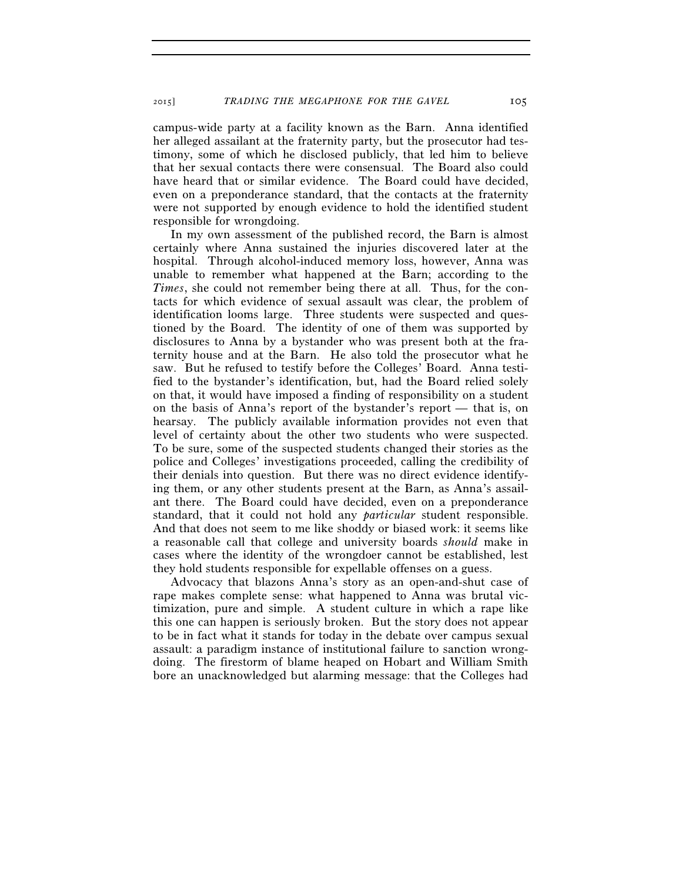campus-wide party at a facility known as the Barn. Anna identified her alleged assailant at the fraternity party, but the prosecutor had testimony, some of which he disclosed publicly, that led him to believe that her sexual contacts there were consensual. The Board also could have heard that or similar evidence. The Board could have decided, even on a preponderance standard, that the contacts at the fraternity were not supported by enough evidence to hold the identified student responsible for wrongdoing.

In my own assessment of the published record, the Barn is almost certainly where Anna sustained the injuries discovered later at the hospital. Through alcohol-induced memory loss, however, Anna was unable to remember what happened at the Barn; according to the *Times*, she could not remember being there at all. Thus, for the contacts for which evidence of sexual assault was clear, the problem of identification looms large. Three students were suspected and questioned by the Board. The identity of one of them was supported by disclosures to Anna by a bystander who was present both at the fraternity house and at the Barn. He also told the prosecutor what he saw. But he refused to testify before the Colleges' Board. Anna testified to the bystander's identification, but, had the Board relied solely on that, it would have imposed a finding of responsibility on a student on the basis of Anna's report of the bystander's report — that is, on hearsay. The publicly available information provides not even that level of certainty about the other two students who were suspected. To be sure, some of the suspected students changed their stories as the police and Colleges' investigations proceeded, calling the credibility of their denials into question. But there was no direct evidence identifying them, or any other students present at the Barn, as Anna's assailant there. The Board could have decided, even on a preponderance standard, that it could not hold any *particular* student responsible. And that does not seem to me like shoddy or biased work: it seems like a reasonable call that college and university boards *should* make in cases where the identity of the wrongdoer cannot be established, lest they hold students responsible for expellable offenses on a guess.

Advocacy that blazons Anna's story as an open-and-shut case of rape makes complete sense: what happened to Anna was brutal victimization, pure and simple. A student culture in which a rape like this one can happen is seriously broken. But the story does not appear to be in fact what it stands for today in the debate over campus sexual assault: a paradigm instance of institutional failure to sanction wrongdoing. The firestorm of blame heaped on Hobart and William Smith bore an unacknowledged but alarming message: that the Colleges had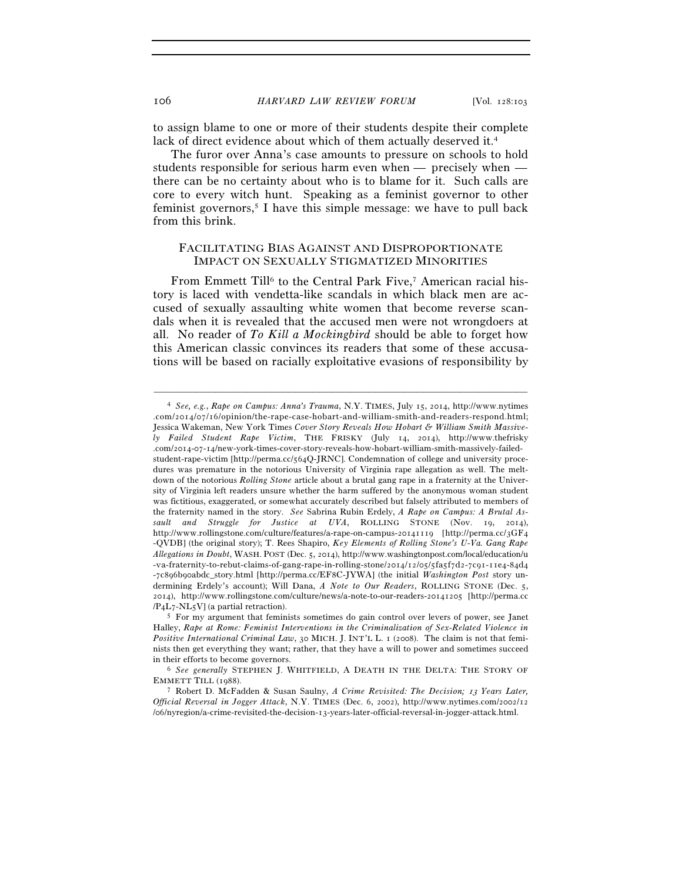to assign blame to one or more of their students despite their complete lack of direct evidence about which of them actually deserved it.<sup>4</sup>

The furor over Anna's case amounts to pressure on schools to hold students responsible for serious harm even when — precisely when there can be no certainty about who is to blame for it. Such calls are core to every witch hunt. Speaking as a feminist governor to other feminist governors,<sup>5</sup> I have this simple message: we have to pull back from this brink.

### FACILITATING BIAS AGAINST AND DISPROPORTIONATE IMPACT ON SEXUALLY STIGMATIZED MINORITIES

From Emmett Till<sup>6</sup> to the Central Park Five,<sup>7</sup> American racial history is laced with vendetta-like scandals in which black men are accused of sexually assaulting white women that become reverse scandals when it is revealed that the accused men were not wrongdoers at all. No reader of *To Kill a Mockingbird* should be able to forget how this American classic convinces its readers that some of these accusations will be based on racially exploitative evasions of responsibility by

<sup>4</sup> *See, e.g.*, *Rape on Campus: Anna's Trauma*, N.Y. TIMES, July 15, 2014, http://www.nytimes .com/2014/07/16/opinion/the-rape-case-hobart-and-william-smith-and-readers-respond.html; Jessica Wakeman, New York Times *Cover Story Reveals How Hobart & William Smith Massively Failed Student Rape Victim*, THE FRISKY (July 14, 2014), http://www.thefrisky .com/2014-07-14/new-york-times-cover-story-reveals-how-hobart-william-smith-massively-failedstudent-rape-victim [http://perma.cc/564Q-JRNC]. Condemnation of college and university procedures was premature in the notorious University of Virginia rape allegation as well. The meltdown of the notorious *Rolling Stone* article about a brutal gang rape in a fraternity at the University of Virginia left readers unsure whether the harm suffered by the anonymous woman student was fictitious, exaggerated, or somewhat accurately described but falsely attributed to members of the fraternity named in the story. *See* Sabrina Rubin Erdely, *A Rape on Campus: A Brutal Assault and Struggle for Justice at UVA*, ROLLING STONE (Nov. 19, 2014), http://www.rollingstone.com/culture/features/a-rape-on-campus-20141119 [http://perma.cc/3GF4 -QVDB] (the original story); T. Rees Shapiro, *Key Elements of Rolling Stone's U-Va. Gang Rape Allegations in Doubt*, WASH. POST (Dec. 5, 2014), http://www.washingtonpost.com/local/education/u -va-fraternity-to-rebut-claims-of-gang-rape-in-rolling-stone/2014/12/05/5fa5f7d2-7c91-11e4-84d4 -7c896b90abdc\_story.html [http://perma.cc/EF8C-JYWA] (the initial *Washington Post* story undermining Erdely's account); Will Dana, *A Note to Our Readers*, ROLLING STONE (Dec. 5, 2014), http://www.rollingstone.com/culture/news/a-note-to-our-readers-20141205 [http://perma.cc  $/PAL_7-NL_5V$ ] (a partial retraction).<br><sup>5</sup> For my argument that feminists sometimes do gain control over levers of power, see Janet

Halley, *Rape at Rome: Feminist Interventions in the Criminalization of Sex-Related Violence in Positive International Criminal Law*, 30 MICH. J. INT'L L. 1 (2008). The claim is not that feminists then get everything they want; rather, that they have a will to power and sometimes succeed

<sup>&</sup>lt;sup>6</sup> See generally STEPHEN J. WHITFIELD, A DEATH IN THE DELTA: THE STORY OF EMMETT TILL (1988). 7 Robert D. McFadden & Susan Saulny, *A Crime Revisited: The Decision;* 13 *Years Later,* 

*Official Reversal in Jogger Attack*, N.Y. TIMES (Dec. 6, 2002), http://www.nytimes.com/2002/12 /06/nyregion/a-crime-revisited-the-decision-13-years-later-official-reversal-in-jogger-attack.html.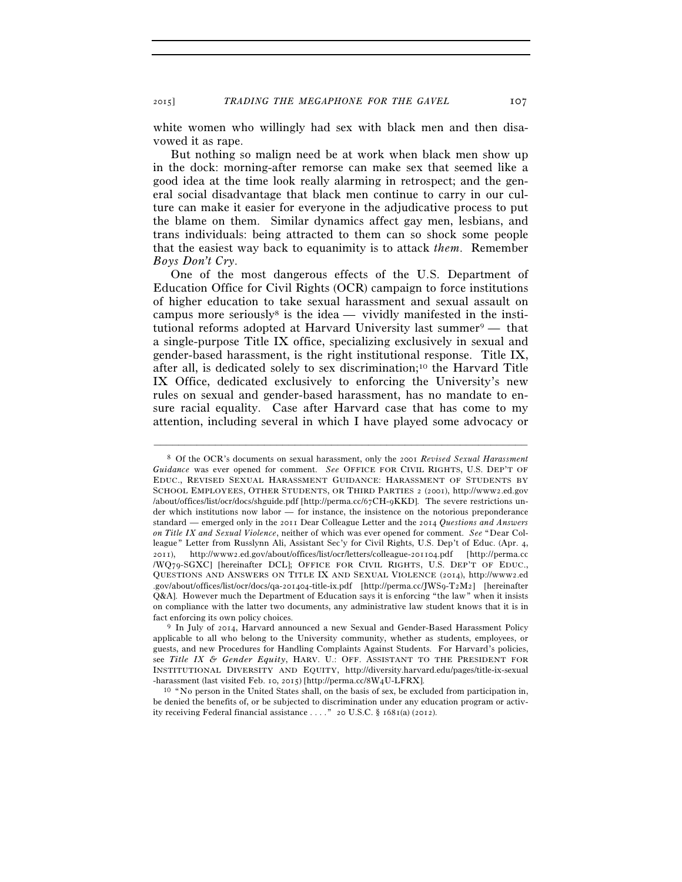2015] *TRADING THE MEGAPHONE FOR THE GAVEL* 107

white women who willingly had sex with black men and then disavowed it as rape.

But nothing so malign need be at work when black men show up in the dock: morning-after remorse can make sex that seemed like a good idea at the time look really alarming in retrospect; and the general social disadvantage that black men continue to carry in our culture can make it easier for everyone in the adjudicative process to put the blame on them. Similar dynamics affect gay men, lesbians, and trans individuals: being attracted to them can so shock some people that the easiest way back to equanimity is to attack *them*. Remember *Boys Don't Cry*.

One of the most dangerous effects of the U.S. Department of Education Office for Civil Rights (OCR) campaign to force institutions of higher education to take sexual harassment and sexual assault on campus more seriously<sup>8</sup> is the idea — vividly manifested in the institutional reforms adopted at Harvard University last summer $9$  — that a single-purpose Title IX office, specializing exclusively in sexual and gender-based harassment, is the right institutional response. Title IX, after all, is dedicated solely to sex discrimination;10 the Harvard Title IX Office, dedicated exclusively to enforcing the University's new rules on sexual and gender-based harassment, has no mandate to ensure racial equality. Case after Harvard case that has come to my attention, including several in which I have played some advocacy or

<sup>8</sup> Of the OCR's documents on sexual harassment, only the 2001 *Revised Sexual Harassment Guidance* was ever opened for comment. *See* OFFICE FOR CIVIL RIGHTS, U.S. DEP'T OF EDUC., REVISED SEXUAL HARASSMENT GUIDANCE: HARASSMENT OF STUDENTS BY SCHOOL EMPLOYEES, OTHER STUDENTS, OR THIRD PARTIES 2 (2001), http://www2.ed.gov /about/offices/list/ocr/docs/shguide.pdf [http://perma.cc/67CH-9KKD]. The severe restrictions under which institutions now labor — for instance, the insistence on the notorious preponderance standard — emerged only in the 2011 Dear Colleague Letter and the 2014 *Questions and Answers on Title IX and Sexual Violence*, neither of which was ever opened for comment. *See* "Dear Colleague" Letter from Russlynn Ali, Assistant Sec'y for Civil Rights, U.S. Dep't of Educ. (Apr. 4, 2011), http://www2.ed.gov/about/offices/list/ocr/letters/colleague-201104.pdf [http://perma.cc /WQ79-SGXC] [hereinafter DCL]; OFFICE FOR CIVIL RIGHTS, U.S. DEP'T OF EDUC., QUESTIONS AND ANSWERS ON TITLE IX AND SEXUAL VIOLENCE (2014), http://www2.ed .gov/about/offices/list/ocr/docs/qa-201404-title-ix.pdf [http://perma.cc/JWS9-T2M2] [hereinafter Q&A]. However much the Department of Education says it is enforcing "the law" when it insists on compliance with the latter two documents, any administrative law student knows that it is in fact enforcing its own policy choices. 9 In July of 2014, Harvard announced a new Sexual and Gender-Based Harassment Policy

applicable to all who belong to the University community, whether as students, employees, or guests, and new Procedures for Handling Complaints Against Students. For Harvard's policies, see *Title IX & Gender Equity*, HARV. U.: OFF. ASSISTANT TO THE PRESIDENT FOR INSTITUTIONAL DIVERSITY AND EQUITY, http://diversity.harvard.edu/pages/title-ix-sexual

<sup>-</sup>harassment (last visited Feb. 10, 2015) [http://perma.cc/8W4U-LFRX].<br><sup>10</sup> "No person in the United States shall, on the basis of sex, be excluded from participation in, be denied the benefits of, or be subjected to discrimination under any education program or activity receiving Federal financial assistance . . . ." 20 U.S.C. § 1681(a) (2012).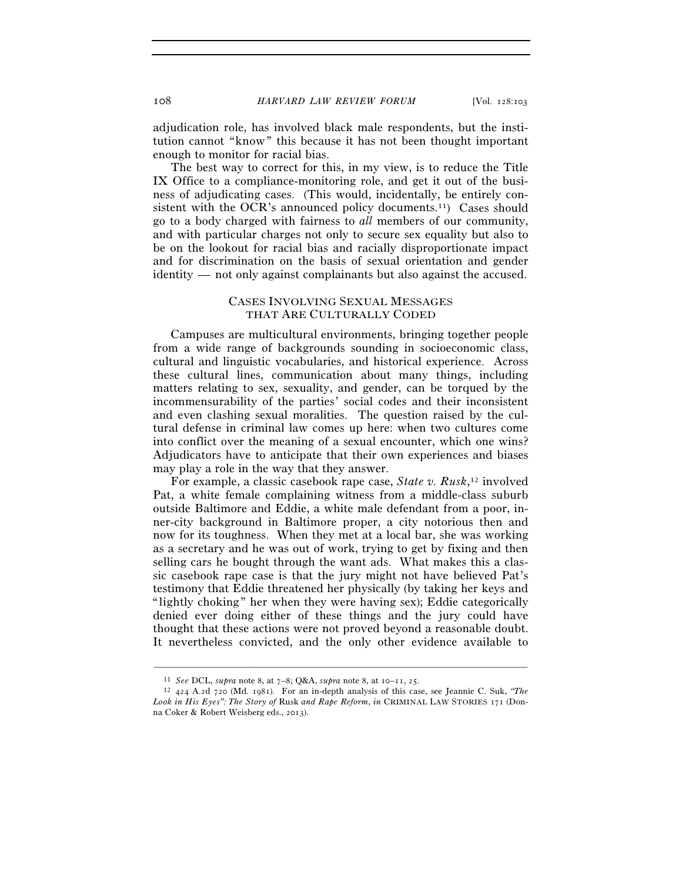adjudication role, has involved black male respondents, but the institution cannot "know" this because it has not been thought important enough to monitor for racial bias.

The best way to correct for this, in my view, is to reduce the Title IX Office to a compliance-monitoring role, and get it out of the business of adjudicating cases. (This would, incidentally, be entirely consistent with the OCR's announced policy documents.<sup>11</sup>) Cases should go to a body charged with fairness to *all* members of our community, and with particular charges not only to secure sex equality but also to be on the lookout for racial bias and racially disproportionate impact and for discrimination on the basis of sexual orientation and gender identity — not only against complainants but also against the accused.

### CASES INVOLVING SEXUAL MESSAGES THAT ARE CULTURALLY CODED

Campuses are multicultural environments, bringing together people from a wide range of backgrounds sounding in socioeconomic class, cultural and linguistic vocabularies, and historical experience. Across these cultural lines, communication about many things, including matters relating to sex, sexuality, and gender, can be torqued by the incommensurability of the parties' social codes and their inconsistent and even clashing sexual moralities. The question raised by the cultural defense in criminal law comes up here: when two cultures come into conflict over the meaning of a sexual encounter, which one wins? Adjudicators have to anticipate that their own experiences and biases may play a role in the way that they answer.

For example, a classic casebook rape case, *State v. Rusk*, <sup>12</sup> involved Pat, a white female complaining witness from a middle-class suburb outside Baltimore and Eddie, a white male defendant from a poor, inner-city background in Baltimore proper, a city notorious then and now for its toughness. When they met at a local bar, she was working as a secretary and he was out of work, trying to get by fixing and then selling cars he bought through the want ads. What makes this a classic casebook rape case is that the jury might not have believed Pat's testimony that Eddie threatened her physically (by taking her keys and "lightly choking" her when they were having sex); Eddie categorically denied ever doing either of these things and the jury could have thought that these actions were not proved beyond a reasonable doubt. It nevertheless convicted, and the only other evidence available to

<sup>&</sup>lt;sup>11</sup> *See* DCL, *supra* note 8, at  $7-8$ ; Q&A, *supra* note 8, at  $10-11$ ,  $25$ .<br><sup>12</sup> 424 A.2d 720 (Md. 1981). For an in-depth analysis of this case, see Jeannie C. Suk, *"The Look in His Eyes": The Story of* Rusk *and Rape Reform*, *in* CRIMINAL LAW STORIES 171 (Donna Coker & Robert Weisberg eds., 2013).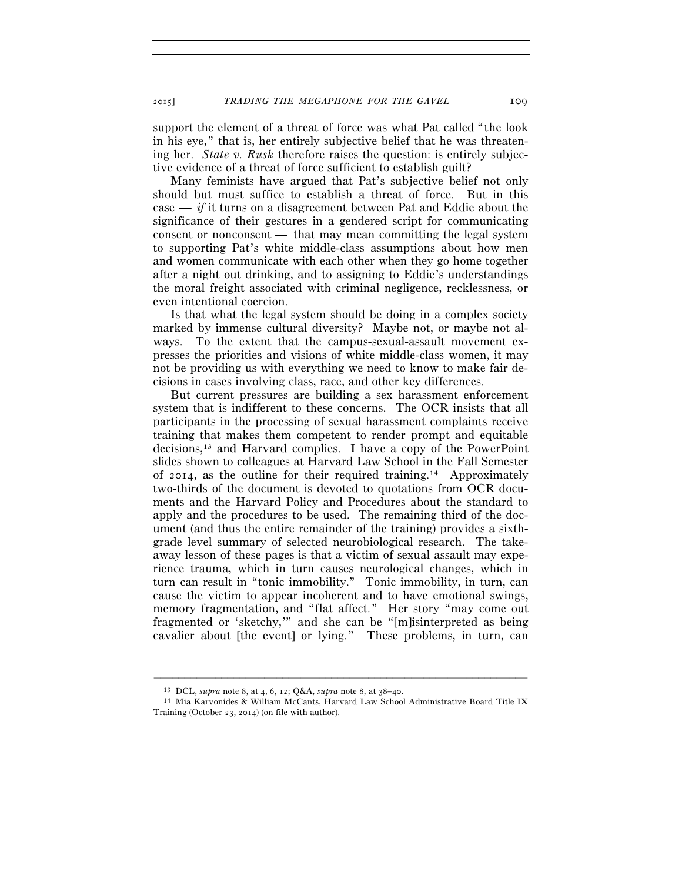support the element of a threat of force was what Pat called "the look in his eye," that is, her entirely subjective belief that he was threatening her. *State v. Rusk* therefore raises the question: is entirely subjective evidence of a threat of force sufficient to establish guilt?

Many feminists have argued that Pat's subjective belief not only should but must suffice to establish a threat of force. But in this case — *if* it turns on a disagreement between Pat and Eddie about the significance of their gestures in a gendered script for communicating consent or nonconsent — that may mean committing the legal system to supporting Pat's white middle-class assumptions about how men and women communicate with each other when they go home together after a night out drinking, and to assigning to Eddie's understandings the moral freight associated with criminal negligence, recklessness, or even intentional coercion.

Is that what the legal system should be doing in a complex society marked by immense cultural diversity? Maybe not, or maybe not always. To the extent that the campus-sexual-assault movement expresses the priorities and visions of white middle-class women, it may not be providing us with everything we need to know to make fair decisions in cases involving class, race, and other key differences.

But current pressures are building a sex harassment enforcement system that is indifferent to these concerns. The OCR insists that all participants in the processing of sexual harassment complaints receive training that makes them competent to render prompt and equitable decisions,13 and Harvard complies. I have a copy of the PowerPoint slides shown to colleagues at Harvard Law School in the Fall Semester of 2014, as the outline for their required training.14 Approximately two-thirds of the document is devoted to quotations from OCR documents and the Harvard Policy and Procedures about the standard to apply and the procedures to be used. The remaining third of the document (and thus the entire remainder of the training) provides a sixthgrade level summary of selected neurobiological research. The takeaway lesson of these pages is that a victim of sexual assault may experience trauma, which in turn causes neurological changes, which in turn can result in "tonic immobility." Tonic immobility, in turn, can cause the victim to appear incoherent and to have emotional swings, memory fragmentation, and "flat affect." Her story "may come out fragmented or 'sketchy,'" and she can be "[m]isinterpreted as being cavalier about [the event] or lying." These problems, in turn, can

<sup>13</sup> DCL, *supra* note 8, at 4, 6, 12; Q&A, *supra* note 8, at 38–40. 14 Mia Karvonides & William McCants, Harvard Law School Administrative Board Title IX Training (October 23, 2014) (on file with author).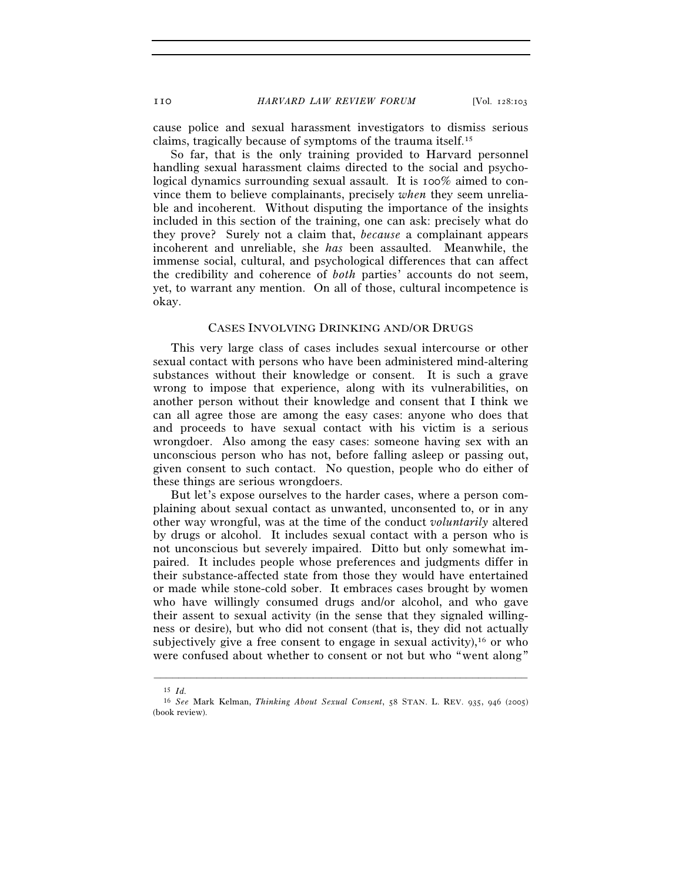cause police and sexual harassment investigators to dismiss serious claims, tragically because of symptoms of the trauma itself.15

So far, that is the only training provided to Harvard personnel handling sexual harassment claims directed to the social and psychological dynamics surrounding sexual assault. It is 100% aimed to convince them to believe complainants, precisely *when* they seem unreliable and incoherent. Without disputing the importance of the insights included in this section of the training, one can ask: precisely what do they prove? Surely not a claim that, *because* a complainant appears incoherent and unreliable, she *has* been assaulted. Meanwhile, the immense social, cultural, and psychological differences that can affect the credibility and coherence of *both* parties' accounts do not seem, yet, to warrant any mention. On all of those, cultural incompetence is okay.

#### CASES INVOLVING DRINKING AND/OR DRUGS

This very large class of cases includes sexual intercourse or other sexual contact with persons who have been administered mind-altering substances without their knowledge or consent. It is such a grave wrong to impose that experience, along with its vulnerabilities, on another person without their knowledge and consent that I think we can all agree those are among the easy cases: anyone who does that and proceeds to have sexual contact with his victim is a serious wrongdoer. Also among the easy cases: someone having sex with an unconscious person who has not, before falling asleep or passing out, given consent to such contact. No question, people who do either of these things are serious wrongdoers.

But let's expose ourselves to the harder cases, where a person complaining about sexual contact as unwanted, unconsented to, or in any other way wrongful, was at the time of the conduct *voluntarily* altered by drugs or alcohol. It includes sexual contact with a person who is not unconscious but severely impaired. Ditto but only somewhat impaired. It includes people whose preferences and judgments differ in their substance-affected state from those they would have entertained or made while stone-cold sober. It embraces cases brought by women who have willingly consumed drugs and/or alcohol, and who gave their assent to sexual activity (in the sense that they signaled willingness or desire), but who did not consent (that is, they did not actually subjectively give a free consent to engage in sexual activity),  $16$  or who were confused about whether to consent or not but who "went along"

<sup>15</sup> *Id.*

<sup>16</sup> *See* Mark Kelman, *Thinking About Sexual Consent*, 58 STAN. L. REV. 935, 946 (2005) (book review).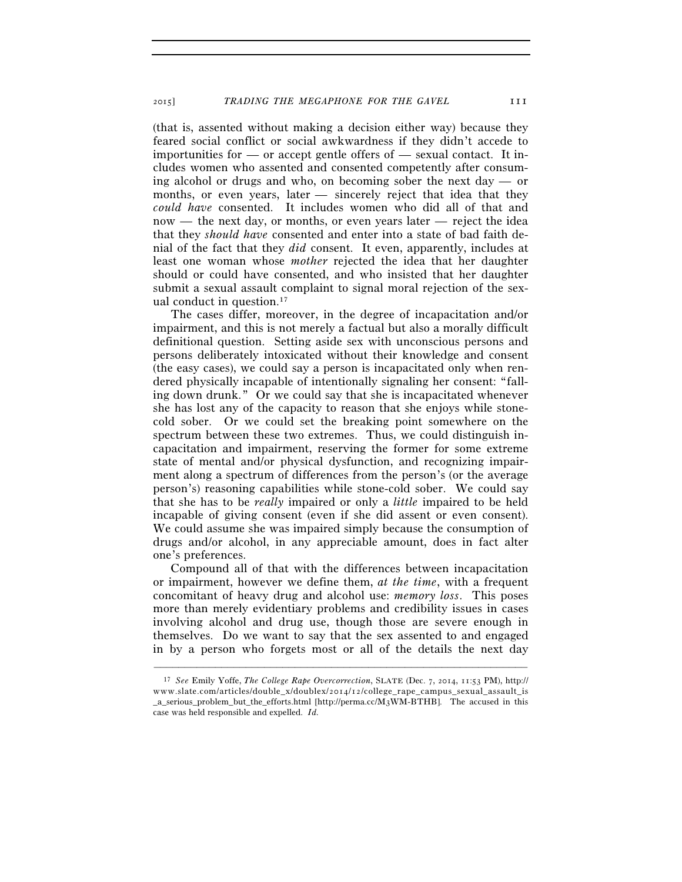(that is, assented without making a decision either way) because they feared social conflict or social awkwardness if they didn't accede to importunities for  $\sim$  or accept gentle offers of  $\sim$  sexual contact. It includes women who assented and consented competently after consuming alcohol or drugs and who, on becoming sober the next day — or months, or even years, later — sincerely reject that idea that they *could have* consented. It includes women who did all of that and now — the next day, or months, or even years later — reject the idea that they *should have* consented and enter into a state of bad faith denial of the fact that they *did* consent. It even, apparently, includes at least one woman whose *mother* rejected the idea that her daughter should or could have consented, and who insisted that her daughter submit a sexual assault complaint to signal moral rejection of the sexual conduct in question.17

The cases differ, moreover, in the degree of incapacitation and/or impairment, and this is not merely a factual but also a morally difficult definitional question. Setting aside sex with unconscious persons and persons deliberately intoxicated without their knowledge and consent (the easy cases), we could say a person is incapacitated only when rendered physically incapable of intentionally signaling her consent: "falling down drunk." Or we could say that she is incapacitated whenever she has lost any of the capacity to reason that she enjoys while stonecold sober. Or we could set the breaking point somewhere on the spectrum between these two extremes. Thus, we could distinguish incapacitation and impairment, reserving the former for some extreme state of mental and/or physical dysfunction, and recognizing impairment along a spectrum of differences from the person's (or the average person's) reasoning capabilities while stone-cold sober. We could say that she has to be *really* impaired or only a *little* impaired to be held incapable of giving consent (even if she did assent or even consent). We could assume she was impaired simply because the consumption of drugs and/or alcohol, in any appreciable amount, does in fact alter one's preferences.

Compound all of that with the differences between incapacitation or impairment, however we define them, *at the time*, with a frequent concomitant of heavy drug and alcohol use: *memory loss*. This poses more than merely evidentiary problems and credibility issues in cases involving alcohol and drug use, though those are severe enough in themselves. Do we want to say that the sex assented to and engaged in by a person who forgets most or all of the details the next day

<sup>17</sup> *See* Emily Yoffe, *The College Rape Overcorrection*, SLATE (Dec. 7, 2014, 11:53 PM), http:// www.slate.com/articles/double  $x$ /doublex/2014/12/college rape campus sexual assault is \_a\_serious\_problem\_but\_the\_efforts.html [http://perma.cc/M3WM-BTHB]. The accused in this case was held responsible and expelled. *Id.*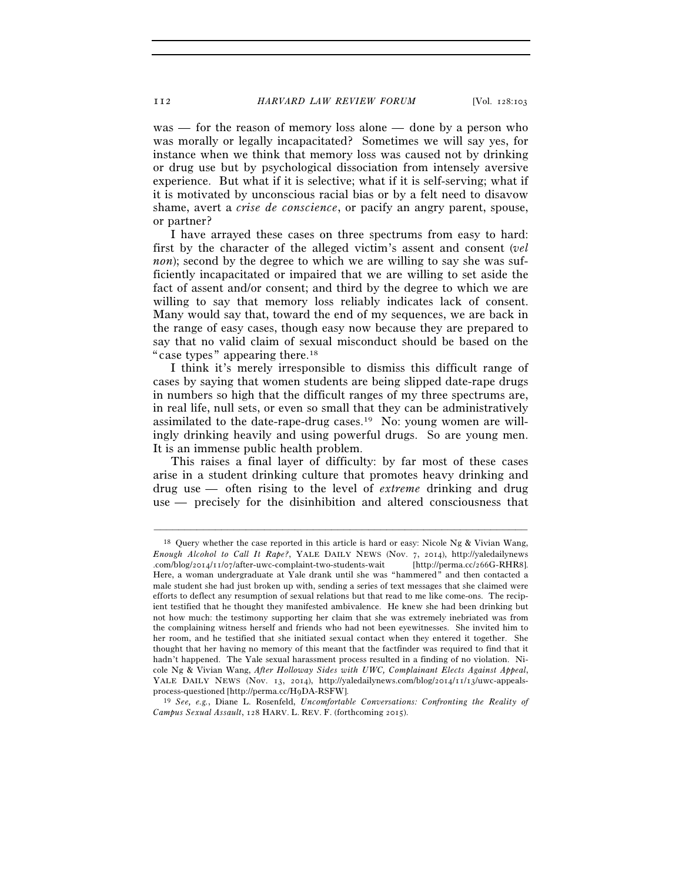was — for the reason of memory loss alone — done by a person who was morally or legally incapacitated? Sometimes we will say yes, for instance when we think that memory loss was caused not by drinking or drug use but by psychological dissociation from intensely aversive experience. But what if it is selective; what if it is self-serving; what if it is motivated by unconscious racial bias or by a felt need to disavow shame, avert a *crise de conscience*, or pacify an angry parent, spouse, or partner?

I have arrayed these cases on three spectrums from easy to hard: first by the character of the alleged victim's assent and consent (*vel non*); second by the degree to which we are willing to say she was sufficiently incapacitated or impaired that we are willing to set aside the fact of assent and/or consent; and third by the degree to which we are willing to say that memory loss reliably indicates lack of consent. Many would say that, toward the end of my sequences, we are back in the range of easy cases, though easy now because they are prepared to say that no valid claim of sexual misconduct should be based on the "case types" appearing there.18

 I think it's merely irresponsible to dismiss this difficult range of cases by saying that women students are being slipped date-rape drugs in numbers so high that the difficult ranges of my three spectrums are, in real life, null sets, or even so small that they can be administratively assimilated to the date-rape-drug cases.19 No: young women are willingly drinking heavily and using powerful drugs. So are young men. It is an immense public health problem.

 This raises a final layer of difficulty: by far most of these cases arise in a student drinking culture that promotes heavy drinking and drug use — often rising to the level of *extreme* drinking and drug use — precisely for the disinhibition and altered consciousness that

–––––––––––––––––––––––––––––––––––––––––––––––––––––––––––––

<sup>19</sup> *See, e.g., Diane L. Rosenfeld, <i>Uncomfortable Conversations: Confronting the Reality of Campus Sexual Assault*, 128 HARV. L. REV. F. (forthcoming 2015).

<sup>&</sup>lt;sup>18</sup> Query whether the case reported in this article is hard or easy: Nicole Ng & Vivian Wang, *Enough Alcohol to Call It Rape?*, YALE DAILY NEWS (Nov. 7, 2014), http://yaledailynews .com/blog/2014/11/07/after-uwc-complaint-two-students-wait [http://perma.cc/266G-RHR8]. Here, a woman undergraduate at Yale drank until she was "hammered" and then contacted a male student she had just broken up with, sending a series of text messages that she claimed were efforts to deflect any resumption of sexual relations but that read to me like come-ons. The recipient testified that he thought they manifested ambivalence. He knew she had been drinking but not how much: the testimony supporting her claim that she was extremely inebriated was from the complaining witness herself and friends who had not been eyewitnesses. She invited him to her room, and he testified that she initiated sexual contact when they entered it together. She thought that her having no memory of this meant that the factfinder was required to find that it hadn't happened. The Yale sexual harassment process resulted in a finding of no violation. Nicole Ng & Vivian Wang, *After Holloway Sides with UWC, Complainant Elects Against Appeal*, YALE DAILY NEWS (Nov. 13, 2014), http://yaledailynews.com/blog/2014/11/13/uwc-appeals-<br>process-questioned [http://perma.cc/H9DA-RSFW].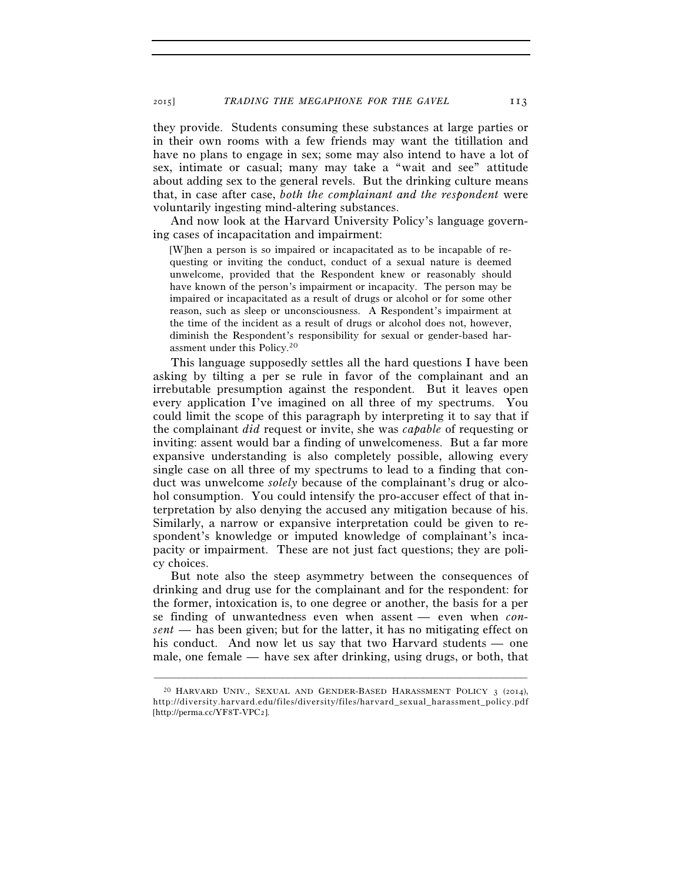they provide. Students consuming these substances at large parties or in their own rooms with a few friends may want the titillation and have no plans to engage in sex; some may also intend to have a lot of sex, intimate or casual; many may take a "wait and see" attitude about adding sex to the general revels. But the drinking culture means that, in case after case, *both the complainant and the respondent* were voluntarily ingesting mind-altering substances.

And now look at the Harvard University Policy's language governing cases of incapacitation and impairment:

[W]hen a person is so impaired or incapacitated as to be incapable of requesting or inviting the conduct, conduct of a sexual nature is deemed unwelcome, provided that the Respondent knew or reasonably should have known of the person's impairment or incapacity. The person may be impaired or incapacitated as a result of drugs or alcohol or for some other reason, such as sleep or unconsciousness. A Respondent's impairment at the time of the incident as a result of drugs or alcohol does not, however, diminish the Respondent's responsibility for sexual or gender-based harassment under this Policy.20

This language supposedly settles all the hard questions I have been asking by tilting a per se rule in favor of the complainant and an irrebutable presumption against the respondent. But it leaves open every application I've imagined on all three of my spectrums. You could limit the scope of this paragraph by interpreting it to say that if the complainant *did* request or invite, she was *capable* of requesting or inviting: assent would bar a finding of unwelcomeness. But a far more expansive understanding is also completely possible, allowing every single case on all three of my spectrums to lead to a finding that conduct was unwelcome *solely* because of the complainant's drug or alcohol consumption. You could intensify the pro-accuser effect of that interpretation by also denying the accused any mitigation because of his. Similarly, a narrow or expansive interpretation could be given to respondent's knowledge or imputed knowledge of complainant's incapacity or impairment. These are not just fact questions; they are policy choices.

But note also the steep asymmetry between the consequences of drinking and drug use for the complainant and for the respondent: for the former, intoxication is, to one degree or another, the basis for a per se finding of unwantedness even when assent — even when *consent* — has been given; but for the latter, it has no mitigating effect on his conduct. And now let us say that two Harvard students — one male, one female — have sex after drinking, using drugs, or both, that

<sup>20</sup> HARVARD UNIV., SEXUAL AND GENDER-BASED HARASSMENT POLICY 3 (2014), http://diversity.harvard.edu/files/diversity/files/harvard\_sexual\_harassment\_policy.pdf [http://perma.cc/YF8T-VPC2].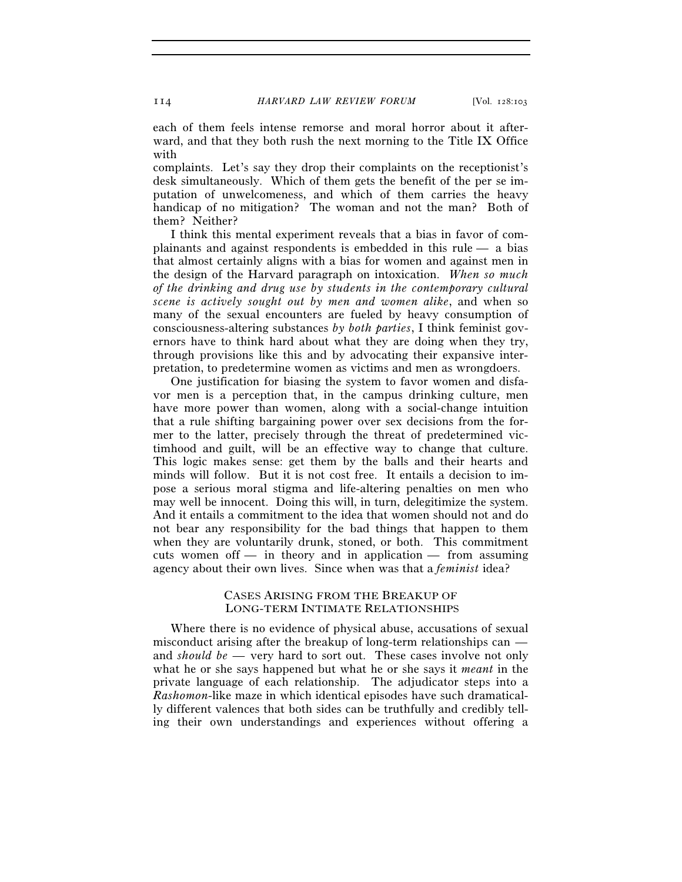each of them feels intense remorse and moral horror about it afterward, and that they both rush the next morning to the Title IX Office with

complaints. Let's say they drop their complaints on the receptionist's desk simultaneously. Which of them gets the benefit of the per se imputation of unwelcomeness, and which of them carries the heavy handicap of no mitigation? The woman and not the man? Both of them? Neither?

I think this mental experiment reveals that a bias in favor of complainants and against respondents is embedded in this rule — a bias that almost certainly aligns with a bias for women and against men in the design of the Harvard paragraph on intoxication. *When so much of the drinking and drug use by students in the contemporary cultural scene is actively sought out by men and women alike*, and when so many of the sexual encounters are fueled by heavy consumption of consciousness-altering substances *by both parties*, I think feminist governors have to think hard about what they are doing when they try, through provisions like this and by advocating their expansive interpretation, to predetermine women as victims and men as wrongdoers.

One justification for biasing the system to favor women and disfavor men is a perception that, in the campus drinking culture, men have more power than women, along with a social-change intuition that a rule shifting bargaining power over sex decisions from the former to the latter, precisely through the threat of predetermined victimhood and guilt, will be an effective way to change that culture. This logic makes sense: get them by the balls and their hearts and minds will follow. But it is not cost free. It entails a decision to impose a serious moral stigma and life-altering penalties on men who may well be innocent. Doing this will, in turn, delegitimize the system. And it entails a commitment to the idea that women should not and do not bear any responsibility for the bad things that happen to them when they are voluntarily drunk, stoned, or both. This commitment cuts women of  $\ddot{\ }$  in theory and in application  $\ddot{\ }$  from assuming agency about their own lives. Since when was that a *feminist* idea?

#### CASES ARISING FROM THE BREAKUP OF LONG-TERM INTIMATE RELATIONSHIPS

Where there is no evidence of physical abuse, accusations of sexual misconduct arising after the breakup of long-term relationships can and *should be* — very hard to sort out. These cases involve not only what he or she says happened but what he or she says it *meant* in the private language of each relationship. The adjudicator steps into a *Rashomon*-like maze in which identical episodes have such dramatically different valences that both sides can be truthfully and credibly telling their own understandings and experiences without offering a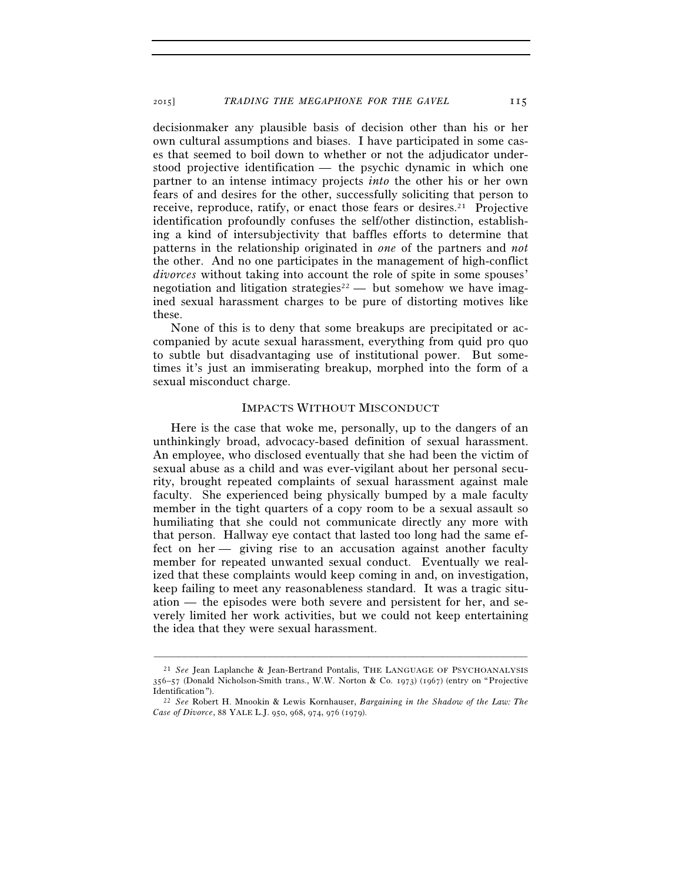decisionmaker any plausible basis of decision other than his or her own cultural assumptions and biases. I have participated in some cases that seemed to boil down to whether or not the adjudicator understood projective identification — the psychic dynamic in which one partner to an intense intimacy projects *into* the other his or her own fears of and desires for the other, successfully soliciting that person to receive, reproduce, ratify, or enact those fears or desires.<sup>21</sup> Projective identification profoundly confuses the self/other distinction, establishing a kind of intersubjectivity that baffles efforts to determine that patterns in the relationship originated in *one* of the partners and *not* the other. And no one participates in the management of high-conflict *divorces* without taking into account the role of spite in some spouses' negotiation and litigation strategies<sup>22</sup> — but somehow we have imagined sexual harassment charges to be pure of distorting motives like these.

None of this is to deny that some breakups are precipitated or accompanied by acute sexual harassment, everything from quid pro quo to subtle but disadvantaging use of institutional power. But sometimes it's just an immiserating breakup, morphed into the form of a sexual misconduct charge.

#### IMPACTS WITHOUT MISCONDUCT

Here is the case that woke me, personally, up to the dangers of an unthinkingly broad, advocacy-based definition of sexual harassment. An employee, who disclosed eventually that she had been the victim of sexual abuse as a child and was ever-vigilant about her personal security, brought repeated complaints of sexual harassment against male faculty. She experienced being physically bumped by a male faculty member in the tight quarters of a copy room to be a sexual assault so humiliating that she could not communicate directly any more with that person. Hallway eye contact that lasted too long had the same effect on her — giving rise to an accusation against another faculty member for repeated unwanted sexual conduct. Eventually we realized that these complaints would keep coming in and, on investigation, keep failing to meet any reasonableness standard. It was a tragic situation — the episodes were both severe and persistent for her, and severely limited her work activities, but we could not keep entertaining the idea that they were sexual harassment.

<sup>21</sup> *See* Jean Laplanche & Jean-Bertrand Pontalis, THE LANGUAGE OF PSYCHOANALYSIS 356–57 (Donald Nicholson-Smith trans., W.W. Norton & Co. 1973) (1967) (entry on "Projective

<sup>&</sup>lt;sup>22</sup> See Robert H. Mnookin & Lewis Kornhauser, *Bargaining in the Shadow of the Law: The Case of Divorce*, 88 YALE L.J. 950, 968, 974, 976 (1979).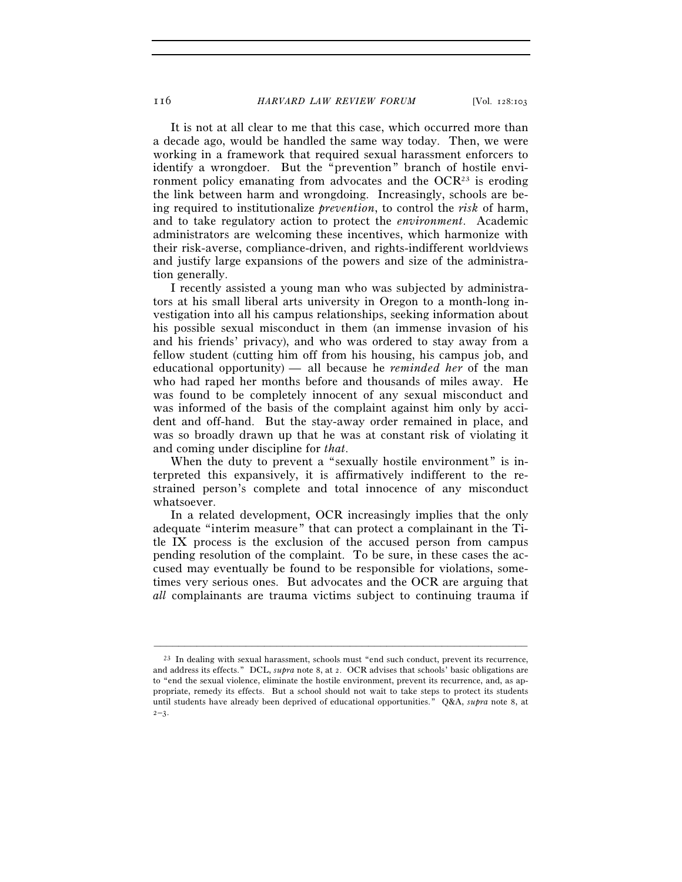It is not at all clear to me that this case, which occurred more than a decade ago, would be handled the same way today. Then, we were working in a framework that required sexual harassment enforcers to identify a wrongdoer. But the "prevention" branch of hostile environment policy emanating from advocates and the  $OCR^{23}$  is eroding the link between harm and wrongdoing. Increasingly, schools are being required to institutionalize *prevention*, to control the *risk* of harm, and to take regulatory action to protect the *environment*. Academic administrators are welcoming these incentives, which harmonize with their risk-averse, compliance-driven, and rights-indifferent worldviews and justify large expansions of the powers and size of the administration generally.

I recently assisted a young man who was subjected by administrators at his small liberal arts university in Oregon to a month-long investigation into all his campus relationships, seeking information about his possible sexual misconduct in them (an immense invasion of his and his friends' privacy), and who was ordered to stay away from a fellow student (cutting him off from his housing, his campus job, and educational opportunity) — all because he *reminded her* of the man who had raped her months before and thousands of miles away. He was found to be completely innocent of any sexual misconduct and was informed of the basis of the complaint against him only by accident and off-hand. But the stay-away order remained in place, and was so broadly drawn up that he was at constant risk of violating it and coming under discipline for *that*.

When the duty to prevent a "sexually hostile environment" is interpreted this expansively, it is affirmatively indifferent to the restrained person's complete and total innocence of any misconduct whatsoever.

In a related development, OCR increasingly implies that the only adequate "interim measure" that can protect a complainant in the Title IX process is the exclusion of the accused person from campus pending resolution of the complaint. To be sure, in these cases the accused may eventually be found to be responsible for violations, sometimes very serious ones. But advocates and the OCR are arguing that *all* complainants are trauma victims subject to continuing trauma if

 $^{23}$  In dealing with sexual harassment, schools must "end such conduct, prevent its recurrence, and address its effects." DCL, *supra* note 8, at 2. OCR advises that schools' basic obligations are to "end the sexual violence, eliminate the hostile environment, prevent its recurrence, and, as appropriate, remedy its effects. But a school should not wait to take steps to protect its students until students have already been deprived of educational opportunities." Q&A, *supra* note 8, at  $2 - 3$ .